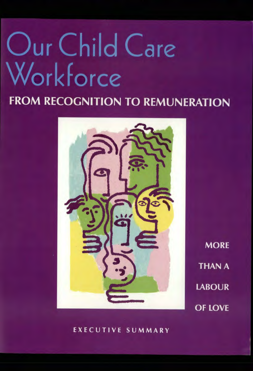# Our Child Care Workforce **FROM RECOGNITION TO REMUNERATION**

**MORE THAN A LABOUR OF LOVE** 

### EXECUTIVE SUMMARY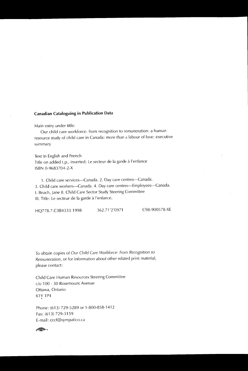### **Canadian Cataloguing in Publication Data**

Main entry under title:

Our child care workforce: from recognition to remuneration: a human resource study of child care in Canada: more than a labour of love: executive summary

Text in English and French Title on added t.p., inverted: Le secteur de Ia garde a l'enfance ISBN 0-9683704-2-X

1. Child care services-Canada. 2. Day care centres-Canada. 3. Child care workers-Canada. 4. Day care centres-Employees-Canada. I. Beach, jane II. Child Care Sector Study Steering Committee III. Title: Le secteur de la garde à l'enfance.

HQ778.7.C3B4333 1998 362.71'2'0971 C98-900578-XE

To obtain copies of Our Child Care Workforce: From Recognition to Remuneration, or for information about other related print material, please contact:

Child Care Human Resources Steering Committee  $c$ /o 100 - 30 Rosemount Avenue Ottawa, Ontario K1Y 1P4

Phone: (613) 729-5289 or 1-800-858-1412 Fax: (613) 729-3159 E-mail: cccf@sympatico.ca

 $\Longleftrightarrow$   $\blacksquare$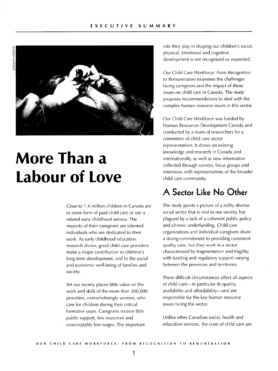ELIZABETH NORTON



## **More Than a Labour of Love**

Close to 1.4 million children in Canada are in some form of paid child care or use a related early childhood service. The majority of their caregivers are talented individuals who are dedicated to their work. As early childhood education research shows, good child care providers make a major contribution to children's long-term development, and to the social and economic well-being of families and society.

Yet our society places little value on the work and skills of the more than 300,000 providers, overwhelmingly women, who care for children during their critical formative years. Caregivers receive little public support, few resources and unacceptably low wages. The important

role they play in shaping our children's social, physical, emotional and cognitive development is not recognized or respected.

Our Child Care Workforce: From Recognition to Remuneration examines the challenges facing caregivers and the impact of these issues on child care in Canada. The study proposes recommendations to deal with the complex human resource issues in this sector.

Our Child Care Workforce was funded by Human Resources Development Canada and conducted by a team of researchers for a committee of child care sector representatives. It draws on existing knowledge and research in Canada and internationally, as well as new information collected through surveys, focus groups and interviews with representatives of the broader child care community.

### **A Sector Like No Other**

The study paints a picture of a richly diverse social sector that is vital to our society, but plagued by a lack of a coherent public policy and chronic underfunding. Child care organizations and individual caregivers share a strong commitment to providing consistent quality care, but they work in a sector characterized by fragmentation and fragility, with funding and regulatory support varying between the provinces and territories.

These difficult circumstances affect all aspects of child care—in particular its quality, availability and affordability—and are responsible for the key human resource issues facing the sector.

Unlike other Canadian social, health and education services, the costs of child care are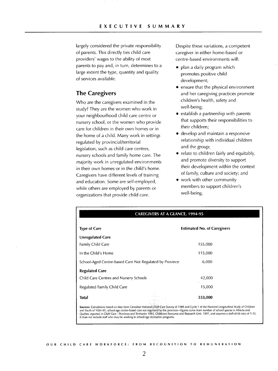largely considered the private responsibility of parents. This directly ties child care providers' wages to the ability of most parents to pay and, in turn, determines to a large extent the type, quantity and quality of services available.

### **The Caregivers**

Who are the caregivers examined in the study? They are the women who work in your neighbourhood child care centre or nursery school, or the women who provide care for children in their own homes or in the home of a child. Many work in settings regulated by provincial/territorial legislation, such as child care centres, nursery schools and family home care. The majority work in unregulated environments in their own homes or in the child's home. Caregivers have different levels of training and education. Some are self-employed, while others are employed by parents or organizations that provide child care.

Despite these variations, a competent caregiver in either home-based or centre-based environments will:

- plan a daily program which promotes positive child development;
- ensure that the physical environment and her caregiving practices promote children's health, safety and well-being;
- establish a partnership with parents that supports their responsibilities to their children;
- develop and maintain a responsive relationship with individual children and the group;
- relate to children fairly and equitably, and promote diversity to support their development within the context of family, culture and society; and
- work with other community members to support children's well-being.

| <b>CAREGIVERS AT A GLANCE, 1994-95</b>                                                                                                                                                                                                                                                                                                                                                                                                                                                                                                  |                                    |
|-----------------------------------------------------------------------------------------------------------------------------------------------------------------------------------------------------------------------------------------------------------------------------------------------------------------------------------------------------------------------------------------------------------------------------------------------------------------------------------------------------------------------------------------|------------------------------------|
| <b>Type of Care</b>                                                                                                                                                                                                                                                                                                                                                                                                                                                                                                                     | <b>Estimated No. of Caregivers</b> |
| <b>Unregulated Care</b>                                                                                                                                                                                                                                                                                                                                                                                                                                                                                                                 |                                    |
| <b>Family Child Care</b>                                                                                                                                                                                                                                                                                                                                                                                                                                                                                                                | 155,000                            |
| In the Child's Home                                                                                                                                                                                                                                                                                                                                                                                                                                                                                                                     | 115,000                            |
| School-Aged Centre-based Care Not Regulated by Province                                                                                                                                                                                                                                                                                                                                                                                                                                                                                 | 6,000                              |
| <b>Regulated Care</b>                                                                                                                                                                                                                                                                                                                                                                                                                                                                                                                   |                                    |
| Child Care Centres and Nursery Schools                                                                                                                                                                                                                                                                                                                                                                                                                                                                                                  | 42,000                             |
| Regulated Family Child Care                                                                                                                                                                                                                                                                                                                                                                                                                                                                                                             | 15,000                             |
| Total                                                                                                                                                                                                                                                                                                                                                                                                                                                                                                                                   | 333,000                            |
| Sources: Calculations based on data from Canadian National Child Care Survey of 1988 and Cycle 1 of the National Longitudinal Study of Children<br>and Youth of 1994-95; school-age centre-based care not regulated by the province-figures come from number of school spaces in Alberta and<br>Quebec reported in Child Care - Provinces and Territories 1995, Childcare Resource and Research Unit, 1997, and assumes a staff:child ratio of 1:15.<br>It does not include staff who may be working in school-age recreation programs. |                                    |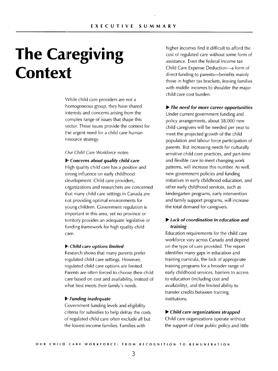## **The Caregiving Context**

While child care providers are not a homogeneous group, they have shared interests and concerns arising from the complex range of issues that shape this sector. These issues provide the context for the urgent need for a child care human resource strategy.

#### Our Child Care Workforce notes:

•~ *Concerns about quality child care*  High quality child care has a positive and strong influence on early childhood development. Child care providers, c•rganizations and researchers are concerned that many child care settings in Canada are not providing optimal environments for young children. Government regulation is important in this area, yet no province or territory provides an adequate legislative or funding framework for high quality child care.

#### II• *Child care options limited*

Research shows that many parents prefer regulated child care settings. However, regulated child care options are limited. Parents are often forced to choose their child care based on cost and availability, instead of what best meets their family's needs.

#### •· *Funding inadequate*

Government funding levels and eligibility criteria for subsidies to help defray the costs of regulated child care often exclude all but the lowest-income families. Families with

higher incomes find it difficult to afford the cost of regulated care without some form of assistance. Even the federal income tax Child Care Expense Deduction-a form of direct funding to parents-benefits mainly those in higher tax brackets, leaving families with middle incomes to shoulder the major child care cost burden.

<sup>~</sup>*The need for more career opportunities*  Under current government funding and policy arrangements, about 38,000 new child caregivers will be needed per year to meet the projected growth of the child population and labour force participation of parents. But increasing needs for culturally sensitive child care practices, and part-time and flexible care to meet changing work patterns, will increase this number. As well, new government policies and funding initiatives in early childhood education, and other early childhood services, such as kindergarten programs, early intervention and family support programs, will increase the total demand for caregivers.

### <sup>~</sup>*Lack of coordination in education and training*

Education requirements for the child care workforce vary across Canada and depend on the type of care provided. The report identifies many gaps in education and training curricula, the lack of appropriate training programs for a broader range of early childhood services, barriers to access to education (including cost and availability), and the limited ability to transfer credits between training institutions.

### <sup>~</sup>*Child care organizations strapped*

Child care organizations operate without the support of clear public policy and little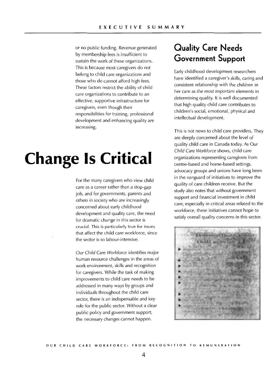or no public funding. Revenue generated by membership fees is insufficient to sustain the work of these organizations. This is because most caregivers do not belong to child care organizations and those who do cannot afford high fees. These factors restrict the ability of child care organizations to contribute to an effective, supportive infrastructure for caregivers, even though their responsibilities for training, professional development and enhancing quality are increasing.

## **Change Is Critical**

For the many caregivers who view child care as a career rather than a stop-gap job, and for governments, parents and others in society who are increasingly concerned about early childhood development and quality care, the need for dramatic change in this sector is crucial. This is particularly true for issues that affect the child care workforce, since the sector is so labour-intensive.

Our Child Care Workforce identifies major human resource challenges in the areas of work environment, skills and recognition for caregivers. While the task of making improvements to child care needs to be addressed in many ways by groups and individuals throughout the child care sector, there is an indispensable and key role for the public sector. Without a clear public policy and government support, the necessary changes cannot happen.

### **Ouality Care Needs Government Support**

Early childhood development researchers have identified a caregiver's skills, caring and consistent relationship with the children in her care as the most important elements in determining quality. It is well documented that high quality child care contributes to children's social, emotional, physical and intellectual development.

This is not news to child care providers. They are deeply concerned about the level of quality child care in Canada today. As Our Child Care Workforce shows, child care organizations representing caregivers from centre-based and home-based settings, advocacy groups and unions have long been in the vanguard of initiatives to improve the quality of care children receive. But the study also notes that without government support and financial investment in child care, especially in critical areas related to the workforce, these initiatives cannot hope to satisfy overall quality concerns in this sector.

**CHALL** ME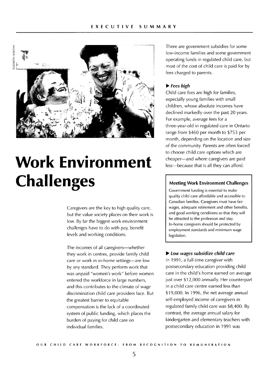ELIZABETH NORTON



## **Work Environment Challenges**

Caregivers are the key to high quality care, but the value society places on their work is low. By far the biggest work environment challenges have to do with pay, benefit levels and working conditions.

The incomes of all caregivers-whether they work in centres, provide family child care or work in in-home settings-are low by any standard. They perform work that was unpaid "women's work" before women

entered the workforce in large numbers, and this contributes to the climate of wage discrimination child care providers face. But the greatest barrier to equitable compensation is the lack of a coordinated system of public funding, which places the burden of paying for child care on individual families.

There are government subsidies for some low-income families and some government operating funds in regulated child care, but most of the cost of child care is paid for by fees charged to parents.

### ~Fees *high*

Child care fees are high for families, especially young families with small children, whose absolute incomes have declined markedly over the past 20 years. For example, average fees for a three-year-old in regulated care in Ontario range from \$460 per month to \$753 per month, depending on the location and size of the community. Parents are often forced to choose child care options which are cheaper-and where caregivers are paid less-because that is all they can afford.

### Meeting Work Environment Challenges

Government funding is essential to make quality child care affordable and accessible to Canadian families. Caregivers must have fair wages, adequate retirement and other benefits, and good working conditions so that they will be attracted to the profession and stay. In-home caregivers should be protected by employment standards and minimum wage legislation.

### <sup>~</sup>*Low wages subsidize child care*

In 1991, a full-time caregiver with postsecondary education providing child care in the child's home earned on average just over \$12,000 annually. Her counterpart in a child care centre earned less than \$19,000. In 1996, the net average annual self-employed income of caregivers in regulated family child care was \$8,400. By contrast, the average annual salary for kindergarten and elementary teachers with postsecondary education in 1991 was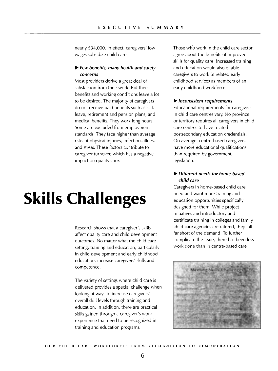nearly \$34,000. In effect, caregivers' low wages subsidize child care.

### ~ **Few benefits, many health and safety concerns**

Most providers derive a great deal of satisfaction from their work. But their benefits and working conditions leave a lot to be desired. The majority of caregivers do not receive paid benefits such as sick leave, retirement and pension plans, and medical benefits. They work long hours. Some are excluded from employment standards. They face higher than average risks of physical injuries, infectious illness and stress. These factors contribute to caregiver turnover, which has a negative impact on quality care.

## **Skills Challenges**

Research shows that a caregiver's skills affect quality care and child development outcomes. No matter what the child care setting, training and education, particularly in child development and early childhood education, increase caregivers' skills and competence.

The variety of settings where child care is delivered provides a special challenge when looking at ways to increase caregivers' overall skill levels through training and education. In addition, there are practical skills gained through a caregiver's work experience that need to be recognized in training and education programs.

Those who work in the child care sector agree about the benefits of improved skills for quality care. Increased training and education would also enable caregivers to work in related early childhood services as members of an early childhood workforce.

### ~ **Inconsistent requirements**

Educational requirements for caregivers in child care centres vary. No province or territory requires all caregivers in child care centres to have related postsecondary education credentials. On average, centre-based caregivers have more educational qualifications than required by government legislation.

### ~ **Different needs for home-based child care**

Caregivers in home-based child care need and want more training and education opportunities specifically designed for them. While project initiatives and introductory and certificate training in colleges and family child care agencies are offered, they fall far short of the demand. To further complicate the issue, there has been less work done than in centre-based care

Meeting Skillvery Training and led in **ODSULPHINGHT drinights/thirds** connel Weisel Faind to sal Mr. and a sufficient and New Hispetters of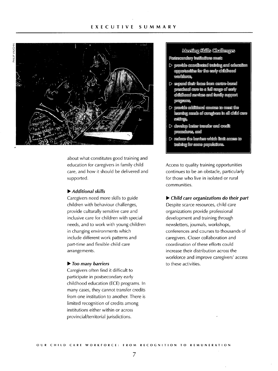### **EXECUTIVE SUMMARY**



about what constitutes good training and education for caregivers in family child care, and how it should be delivered and supported.

### <sup>~</sup>*Additional skills*

Caregivers need more skills to guide children with behaviour challenges, provide culturally sensitive care and inclusive care for children with special needs, and to work with young children in changing environments which include different work patterns and part-time and flexible child care arrangements.

#### <sup>~</sup>*Too many barriers*

Caregivers often find it difficult to participate in postsecondary early childhood education (ECE) programs. In many cases, they cannot transfer credits from one institution to another. There is limited recognition of credits among institutions either within or across provincial/territorial jurisdictions.

### Meeting Skills Challenges

Posisscondary institutions music

- $\triangleright$  provide coordinated training and education opportunities for the early childhood workforce,
- $\triangleright$  expand their focus from centre-based preschool care to a full range of early childhood services and family support programs,
- $\triangleright$  provide additional courses to meet the learning needs of caregivers in all child care settings,
- $\triangleright$  develop better transfer and credit procedures, and
- $>$  reduce the banders which limit access to training for some populations.

Access to quality training opportunities continues to be an obstacle, particularly for those who live in isolated or rural communities.

<sup>~</sup>*Child care organizations do their part*  Despite scarce resources, child care organizations provide professional development and training through newsletters, journals, workshops,

conferences and courses to thousands of caregivers. Closer collaboration and coordination of these efforts could increase their distribution across the workforce and improve caregivers' access to these activities.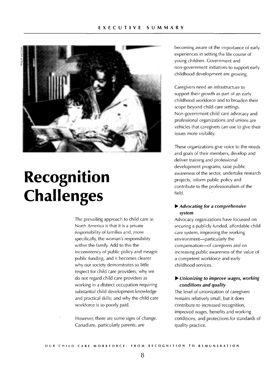

## **Recognition Challenges**

The prevailing approach to child care in North America is that it is a private responsibility of families and, more specifically, the woman's responsibility within the family. Add to this the inconsistency of public policy and meagre public funding, and it becomes clearer why our society demonstrates so little respect for child care providers; why we do not regard child care providers as working in a distinct occupation requiring substantial child development knowledge and practical skills; and why the child care workforce is so poorly paid.

However, there are some signs of change. Canadians, particularly parents, are

becoming aware of the importance of early experiences in setting the life course of young children. Government and non-government initiatives to support early childhood development are growing.

Caregivers need an infrastructure to support their growth as part of an early childhood workforce and to broaden their scope beyond child care settings. Non-government child care advocacy and professional organizations and unions are vehicles that caregivers can use to give their issues more visibility.

These organizations give voice to the needs and goals of their members, develop and deliver training and professional development programs, raise public awareness of the sector, undertake research projects, inform public policy and contribute to the professionalism of the field.

### .... *Advocating for a comprehensive system*

Advocacy organizations have focussed on securing a publicly funded, affordable child care system, improving the working environment-particularly the compensation-of caregivers and on increasing public awareness of the value of a competent workforce and early childhood services.

### .... *Unionizing to improve wages, working conditions and quality*

The level of unionization of caregivers remains relatively small, but it does contribute to increased recognition, improved wages, benefits and working conditions, and protections for standards of quality practice.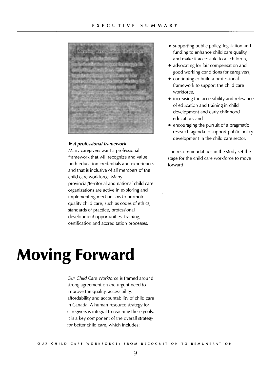

### **IIJII> A professional framework**

Many caregivers want a professional framework that will recognize and value both education credentials and experience, and that is inclusive of all members of the child care workforce. Many provincial/territorial and national child care organizations are active in exploring and implementing mechanisms to promote quality child care, such as codes of ethics, standards of practice, professional development opportunities, training, certification and accreditation processes.

## **Moving Forward**

Our Child Care Workforce is framed around strong agreement on the urgent need to improve the quality, accessibility, affordability and accountability of child care in Canada. A human resource strategy for caregivers is integral to reaching these goals. It is a key component of the overall strategy for better child care, which includes:

- supporting public policy, legislation and funding to enhance child care quality and make it accessible to all children,
- advocating for fair compensation and good working conditions for caregivers,
- continuing to build a professional framework to support the child care workforce,
- increasing the accessibility and relevance of education and training in child development and early childhood education, and
- encouraging the pursuit of a pragmatic research agenda to support public policy development in the child care sector.

The recommendations in the study set the stage for the child care workforce to move forward.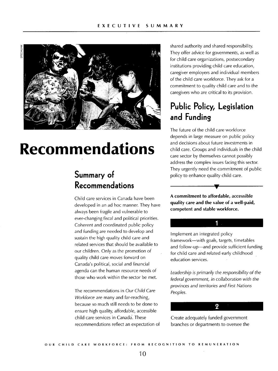



## **Recommendations**

## **Summary of Recommendations**

Child care services in Canada have been developed in an ad hoc manner. They have always been fragile and vulnerable to ever-changing fiscal and political priorities. Coherent and coordinated public policy and funding are needed to develop and sustain the high quality child care and related services that should be available to our children. Only as the promotion of quality child care *moves* forward on Canada's political, social and financial agenda can the human resource needs of those who work within the sector be met.

The recommendations in *Our Child* Care *Workforce* are many and far-reaching, because so much still needs to be done to ensure high quality, affordable, accessible child care services in Canada. These recommendations reflect an expectation of shared authority and shared responsibility. They offer advice for governments, as well as for child care organizations, postsecondary institutions providing child care education, caregiver employers and individual members of the child care workforce. They ask for a commitment to quality child care and to the caregivers who are critical to its provision.

## **Public Policy, Legislation and Funding**

The future of the child care workforce depends in large measure on public policy and decisions about future investments in child care. Croups and individuals in the child care sector by themselves cannot possibly address the complex issues facing this sector. They urgently need the commitment of public policy to enhance quality child care.

**A commitment to affordable, accessible quality care and the value of a well-paid, competent and stable workforce.** 

Implement an integrated policy framework-with goals, targets, timetables and follow-up-and provide sufficient funding for child care and related early childhood education services.

*Leadership is primarily the responsibility of the federal government, in collaboration with the provinces and territories and First Nations Peoples.* 

 $\boldsymbol{2}$ 

Create adequately funded government branches or departments to oversee the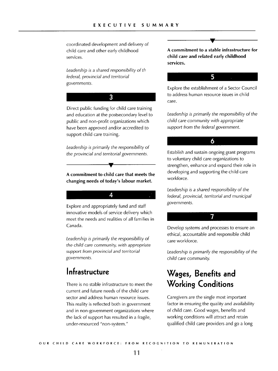coordinated development and delivery of child care and other early childhood services.

*Leadership is* a *shared responsibility of th federal, provincial and territorial governments.* 

### 3

Direct public funding for child care training and education at the postsecondary level to public and non-profit organizations which have been approved and/or accredited to support child care training.

*Leadership is primarily the responsibility of the provincial and territorial governments.* 

### **A commitment to child care that meets the changing needs of today's labour market.**

4

Explore and appropriately fund and staff innovative models of service delivery which meet the needs and realities of all families in Canada.

*Leadership is primarily the responsibility of the child care community, with appropriate support from provincial and territorial governments.* 

### **Infrastructure**

There is no stable infrastructure to meet the current and future needs of the child care sector and address human resource issues. This reality is reflected both in government and in non-government organizations where the lack of support has resulted in a fragile, under-resourced "non-system."

**A commitment to a stable infrastructure for child care and related early childhood services.** 

## 5

Explore the establishment of a Sector Council to address human resource issues in child care.

*Leadership is primarily the responsibility of the child care community with appropriate support from the federal government.* 

### 6

Establish and sustain ongoing grant programs to voluntary child care organizations to strengthen, enhance and expand their role in developing and supporting the child care workforce.

*Leadership is* a *shared responsibility of the federal, provincial, territorial and municipal governments.* 

### Develop systems and processes to ensure an ethical, accountable and responsible child care workforce.

7

*Leadership is primarily the responsibility of the child care community.* 

### **Wages, Benefits and Working Conditions**

Caregivers are the single most important factor in ensuring the quality and availability of child care. Good wages, benefits and working conditions will attract and retain qualified child care providers and go a long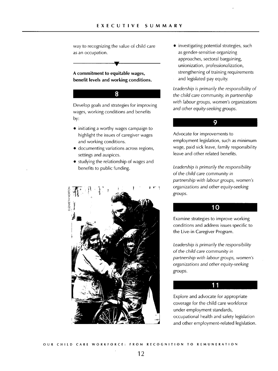way to recognizing the value of child care as an occupation.

**A commitment to equitable** wages, **benefit levels and working conditions.** 

Develop goals and strategies for improving wages, working conditions and benefits by:

8

- initiating a worthy wages campaign to highlight the issues of caregiver wages and working conditions.
- documenting variations across regions, settings and auspices.
- studying the relationship of wages and benefits to public funding.



• investigating potential strategies, such as gender-sensitive organizing approaches, sectoral bargaining, unionization, professionalization, strengthening of training requirements and legislated pay equity.

*Leadership is primarily the responsibility of the child care community, in partnership with labour groups, women's organizations and other equity-seeking groups.* 

### 9

Advocate for improvements to employment legislation, such as minimum wage, paid sick leave, family responsibility leave and other related benefits.

*Leadership is primarily the responsibility of the child care community in partnership with labour groups, women's organizations and other equity-seeking groups.* 

### 10

Examine strategies to improve working conditions and address issues specific to the Live-in Caregiver Program.

*Leadership is primarily the responsibility of the child care community in partnership with labour groups, women's organizations and other equity-seeking groups.* 

### 11

Explore and advocate for appropriate coverage for the child care workforce under employment standards, occupational health and safety legislation and other employment-related legislation.

OUR CHilD CARE WORKFORCE: FROM RECOGNITION TO REMUNERATION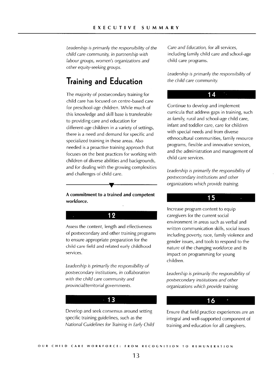*Leadership* is *primarily the responsibility of the child care community, in partnership with labour groups, women's organizations and other equity-seeking groups.* 

### **Training and Education**

The majority of postsecondary training for child care has focused on centre-based care for preschool-age children. While much of this knowledge and skill base is transferable to providing care and education for different-age children in a variety of settings, there is a need and demand for specific and specialized training in these areas. Also needed is a proactive training approach that focuses on the best practices for working with children of diverse abilities and backgrounds, and for dealing with the growing complexities and challenges of child care.

### **A commitment to a trained and competent workforce.**

Assess the content, length and effectiveness of postsecondary and other training programs to ensure appropriate preparation for the child care field and related early childhood services.

12

*Leadership* is *primarily the responsibility of postsecondary institutions, in collaboration with the child care community and provincial/territorial governments.* 

### $\cdot$  13

Develop and seek consensus around setting specific training guidelines, such as the *National Guidelines for Training in Early Child*  *Care and Education,* for all services, including family child care and school-age child care programs.

*Leadership* is *primarily the responsibility of the child care community.* 

### 14

Continue to develop and implement curricula that address gaps in training, such as family, rural and school-age child care, infant and toddler care, care for children with special needs and from diverse ethnocultural communities, family resource programs, flexible and innovative services, and the administration and management of child care services.

*Leadership* is *primarily the responsibility of postsecondary institutions and other organizations which provide training.* 

### $1<sub>5</sub>$

Increase program content to equip caregivers for the current social environment in areas such as verbal and written communication skills, social issues including poverty, race, family violence and gender issues, and tools to respond to the nature of the changing workforce and its impact on programming for young children.

*Leadership* is *primarily the responsibility of postsecondary institutions and other organizations which provide training.* 



Ensure that field practice experiences are an integral and well-supported component of training and education for all caregivers.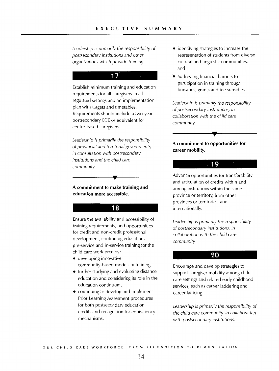*Leadership* is *primarily the responsibility of postsecondary institutions and other organizations which provide training.* 

Establish minimum training and education requirements for all caregivers in all regulated settings and an implementation plan with targets and timetables. Requirements should include a two-year postsecondary ECE or equivalent for centre-based caregivers.

*Leadership* is *primarily the responsibility of provincial and territorial governments, in consultation with postsecondary institutions and the child care community.* 

### **A commitment to make training and education more accessible.**

### 18

Ensure the availability and accessibility of training requirements, and opportunities for credit and non-credit professional development, continuing education, pre-service and in-service training for the child care workforce by:

- developing innovative community-based models of training,
- further studying and evaluating distance education and considering its role in the education continuum,
- continuing to develop and implement Prior Learning Assessment procedures for both postsecondary education credits and recognition for equivalency mechanisms,
- identifying strategies to increase the representation of students from diverse cultural and linguistic communities, and
- addressing financial barriers to participation in training through bursaries, grants and fee subsidies.

*Leadership* is *primarily the responsibility of postsecondary institutions, in collaboration with the child care community.* 

### **A commitment to opportunities for career mobility.**

19

Advance opportunities for transferability and articulation of credits within and among institutions within the same province or territory, from other provinces or territories, and internationally.

*Leadership* is *primarily the responsibility*  of *postsecondary institutions, in collaboration with the child care community.* 

### 20

Encourage and develop strategies to support caregiver mobility among child care settings and related early childhood services, such as career laddering and career latticing.

*Leadership* is *primarily the responsibility of the child care community, in collaboration with postsecondary institutions.*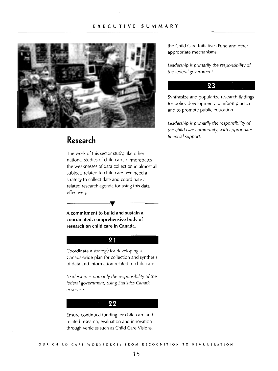

### **Research**

The work of this sector study, like other national studies of child care, demonstrates the weaknesses of data collection in almost all subjects related to child care. We need a strategy to collect data and coordinate a related research agenda for using this data effectively.

**A commitment to build and sustain a coordinated, comprehensive body of research on child care in Canada.** 



Coordinate a strategy for developing a Canada-wide plan for collection and synthesis of data and information related to child care.

*Leadership is primarily the responsibility of the federal government, using Statistics Canada expertise.* 



Ensure continued funding for child care and related research, evaluation and innovation through vehicles such as Child Care Visions,

the Child Care Initiatives Fund and other appropriate mechanisms.

*Leadership is primarily the responsibility of the federal government.* 

### 23

Synthesize and popularize research findings for policy development, to inform practice and to promote public education.

*Leadership is primarily the responsibility of the child care community, with appropriate financial support.*